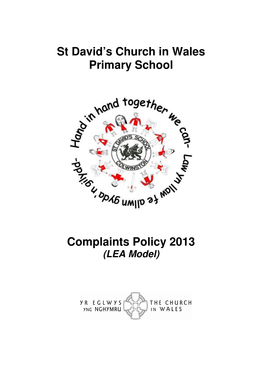# **St David's Church in Wales Primary School**



# **Complaints Policy 2013 (LEA Model)**

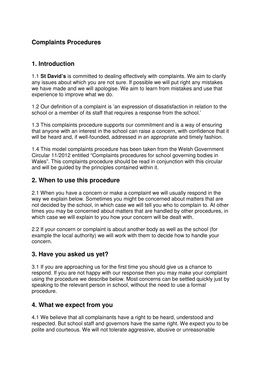## **Complaints Procedures**

## **1. Introduction**

1.1 **St David's** is committed to dealing effectively with complaints. We aim to clarify any issues about which you are not sure. If possible we will put right any mistakes we have made and we will apologise. We aim to learn from mistakes and use that experience to improve what we do.

1.2 Our definition of a complaint is 'an expression of dissatisfaction in relation to the school or a member of its staff that requires a response from the school.'

1.3 This complaints procedure supports our commitment and is a way of ensuring that anyone with an interest in the school can raise a concern, with confidence that it will be heard and, if well-founded, addressed in an appropriate and timely fashion.

1.4 This model complaints procedure has been taken from the Welsh Government Circular 11/2012 entitled "Complaints procedures for school governing bodies in Wales". This complaints procedure should be read in conjunction with this circular and will be guided by the principles contained within it.

## **2. When to use this procedure**

2.1 When you have a concern or make a complaint we will usually respond in the way we explain below. Sometimes you might be concerned about matters that are not decided by the school, in which case we will tell you who to complain to. At other times you may be concerned about matters that are handled by other procedures, in which case we will explain to you how your concern will be dealt with.

2.2 If your concern or complaint is about another body as well as the school (for example the local authority) we will work with them to decide how to handle your concern.

## **3. Have you asked us yet?**

3.1 If you are approaching us for the first time you should give us a chance to respond. If you are not happy with our response then you may make your complaint using the procedure we describe below. Most concerns can be settled quickly just by speaking to the relevant person in school, without the need to use a formal procedure.

### **4. What we expect from you**

4.1 We believe that all complainants have a right to be heard, understood and respected. But school staff and governors have the same right. We expect you to be polite and courteous. We will not tolerate aggressive, abusive or unreasonable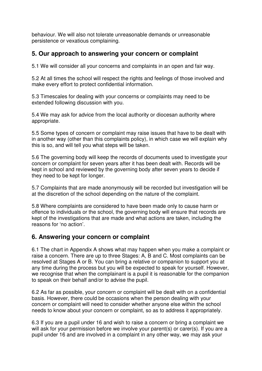behaviour. We will also not tolerate unreasonable demands or unreasonable persistence or vexatious complaining.

## **5. Our approach to answering your concern or complaint**

5.1 We will consider all your concerns and complaints in an open and fair way.

5.2 At all times the school will respect the rights and feelings of those involved and make every effort to protect confidential information.

5.3 Timescales for dealing with your concerns or complaints may need to be extended following discussion with you.

5.4 We may ask for advice from the local authority or diocesan authority where appropriate.

5.5 Some types of concern or complaint may raise issues that have to be dealt with in another way (other than this complaints policy), in which case we will explain why this is so, and will tell you what steps will be taken.

5.6 The governing body will keep the records of documents used to investigate your concern or complaint for seven years after it has been dealt with. Records will be kept in school and reviewed by the governing body after seven years to decide if they need to be kept for longer.

5.7 Complaints that are made anonymously will be recorded but investigation will be at the discretion of the school depending on the nature of the complaint.

5.8 Where complaints are considered to have been made only to cause harm or offence to individuals or the school, the governing body will ensure that records are kept of the investigations that are made and what actions are taken, including the reasons for 'no action'.

## **6. Answering your concern or complaint**

6.1 The chart in Appendix A shows what may happen when you make a complaint or raise a concern. There are up to three Stages: A, B and C. Most complaints can be resolved at Stages A or B. You can bring a relative or companion to support you at any time during the process but you will be expected to speak for yourself. However, we recognise that when the complainant is a pupil it is reasonable for the companion to speak on their behalf and/or to advise the pupil.

6.2 As far as possible, your concern or complaint will be dealt with on a confidential basis. However, there could be occasions when the person dealing with your concern or complaint will need to consider whether anyone else within the school needs to know about your concern or complaint, so as to address it appropriately.

6.3 If you are a pupil under 16 and wish to raise a concern or bring a complaint we will ask for your permission before we involve your parent(s) or carer(s). If you are a pupil under 16 and are involved in a complaint in any other way, we may ask your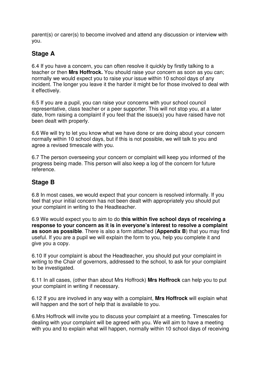parent(s) or carer(s) to become involved and attend any discussion or interview with you.

## **Stage A**

6.4 If you have a concern, you can often resolve it quickly by firstly talking to a teacher or then **Mrs Hoffrock.** You should raise your concern as soon as you can; normally we would expect you to raise your issue within 10 school days of any incident. The longer you leave it the harder it might be for those involved to deal with it effectively.

6.5 If you are a pupil, you can raise your concerns with your school council representative, class teacher or a peer supporter. This will not stop you, at a later date, from raising a complaint if you feel that the issue(s) you have raised have not been dealt with properly.

6.6 We will try to let you know what we have done or are doing about your concern normally within 10 school days, but if this is not possible, we will talk to you and agree a revised timescale with you.

6.7 The person overseeing your concern or complaint will keep you informed of the progress being made. This person will also keep a log of the concern for future reference.

## **Stage B**

6.8 In most cases, we would expect that your concern is resolved informally. If you feel that your initial concern has not been dealt with appropriately you should put your complaint in writing to the Headteacher.

6.9 We would expect you to aim to do **this within five school days of receiving a response to your concern as it is in everyone's interest to resolve a complaint as soon as possible**. There is also a form attached (**Appendix B**) that you may find useful. If you are a pupil we will explain the form to you, help you complete it and give you a copy.

6.10 If your complaint is about the Headteacher, you should put your complaint in writing to the Chair of governors, addressed to the school, to ask for your complaint to be investigated.

6.11 In all cases, (other than about Mrs Hoffrock) **Mrs Hoffrock** can help you to put your complaint in writing if necessary.

6.12 If you are involved in any way with a complaint, **Mrs Hoffrock** will explain what will happen and the sort of help that is available to you.

6.Mrs Hoffrock will invite you to discuss your complaint at a meeting. Timescales for dealing with your complaint will be agreed with you. We will aim to have a meeting with you and to explain what will happen, normally within 10 school days of receiving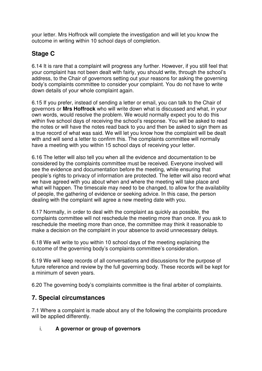your letter. Mrs Hoffrock will complete the investigation and will let you know the outcome in writing within 10 school days of completion.

# **Stage C**

6.14 It is rare that a complaint will progress any further. However, if you still feel that your complaint has not been dealt with fairly, you should write, through the school's address, to the Chair of governors setting out your reasons for asking the governing body's complaints committee to consider your complaint. You do not have to write down details of your whole complaint again.

6.15 If you prefer, instead of sending a letter or email, you can talk to the Chair of governors or **Mrs Hoffrock** who will write down what is discussed and what, in your own words, would resolve the problem. We would normally expect you to do this within five school days of receiving the school's response. You will be asked to read the notes or will have the notes read back to you and then be asked to sign them as a true record of what was said. We will let you know how the complaint will be dealt with and will send a letter to confirm this. The complaints committee will normally have a meeting with you within 15 school days of receiving your letter.

6.16 The letter will also tell you when all the evidence and documentation to be considered by the complaints committee must be received. Everyone involved will see the evidence and documentation before the meeting, while ensuring that people's rights to privacy of information are protected. The letter will also record what we have agreed with you about when and where the meeting will take place and what will happen. The timescale may need to be changed, to allow for the availability of people, the gathering of evidence or seeking advice. In this case, the person dealing with the complaint will agree a new meeting date with you.

6.17 Normally, in order to deal with the complaint as quickly as possible, the complaints committee will not reschedule the meeting more than once. If you ask to reschedule the meeting more than once, the committee may think it reasonable to make a decision on the complaint in your absence to avoid unnecessary delays.

6.18 We will write to you within 10 school days of the meeting explaining the outcome of the governing body's complaints committee's consideration.

6.19 We will keep records of all conversations and discussions for the purpose of future reference and review by the full governing body. These records will be kept for a minimum of seven years.

6.20 The governing body's complaints committee is the final arbiter of complaints.

## **7. Special circumstances**

7.1 Where a complaint is made about any of the following the complaints procedure will be applied differently.

### i. **A governor or group of governors**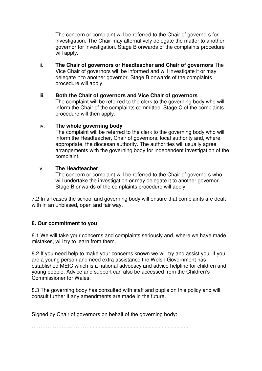The concern or complaint will be referred to the Chair of governors for investigation. The Chair may alternatively delegate the matter to another governor for investigation. Stage B onwards of the complaints procedure will apply.

- ii. **The Chair of governors or Headteacher and Chair of governors** The Vice Chair of governors will be informed and will investigate it or may delegate it to another governor. Stage B onwards of the complaints procedure will apply.
- iii. **Both the Chair of governors and Vice Chair of governors**  The complaint will be referred to the clerk to the governing body who will inform the Chair of the complaints committee. Stage C of the complaints procedure will then apply.

#### iv. **The whole governing body**

The complaint will be referred to the clerk to the governing body who will inform the Headteacher, Chair of governors, local authority and, where appropriate, the diocesan authority. The authorities will usually agree arrangements with the governing body for independent investigation of the complaint.

#### v. **The Headteacher**

The concern or complaint will be referred to the Chair of governors who will undertake the investigation or may delegate it to another governor. Stage B onwards of the complaints procedure will apply.

7.2 In all cases the school and governing body will ensure that complaints are dealt with in an unbiased, open and fair way.

#### **8. Our commitment to you**

8.1 We will take your concerns and complaints seriously and, where we have made mistakes, will try to learn from them.

8.2 If you need help to make your concerns known we will try and assist you. If you are a young person and need extra assistance the Welsh Government has established MEIC which is a national advocacy and advice helpline for children and young people. Advice and support can also be accessed from the Children's Commissioner for Wales.

8.3 The governing body has consulted with staff and pupils on this policy and will consult further if any amendments are made in the future.

Signed by Chair of governors on behalf of the governing body:

……………………………...................................................................